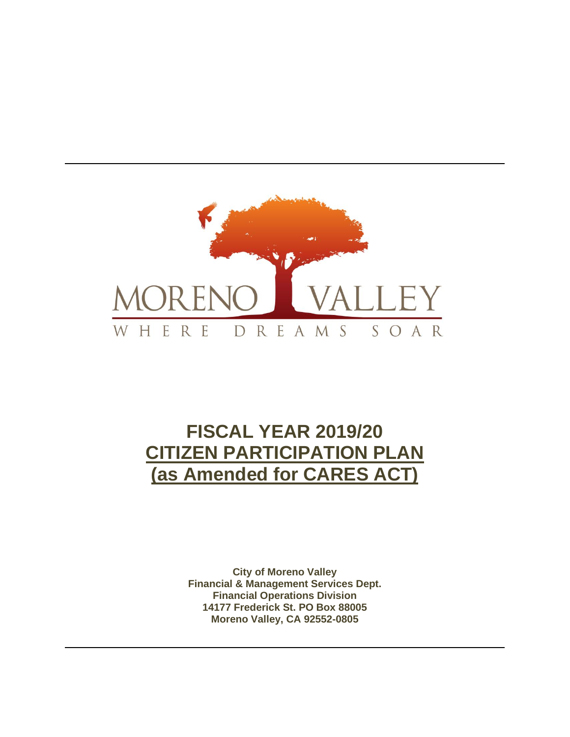

# **FISCAL YEAR 2019/20 CITIZEN PARTICIPATION PLAN (as Amended for CARES ACT)**

**City of Moreno Valley Financial & Management Services Dept. Financial Operations Division 14177 Frederick St. PO Box 88005 Moreno Valley, CA 92552-0805**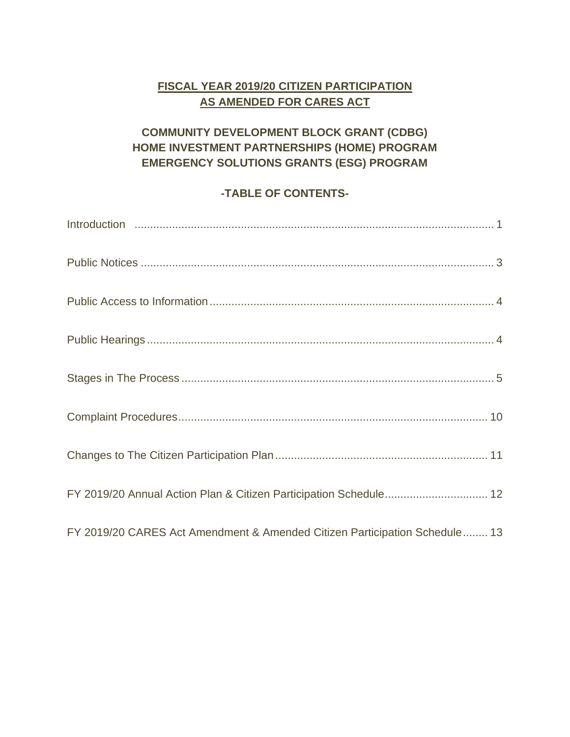## **FISCAL YEAR 2019/20 CITIZEN PARTICIPATION AS AMENDED FOR CARES ACT**

## **COMMUNITY DEVELOPMENT BLOCK GRANT (CDBG) HOME INVESTMENT PARTNERSHIPS (HOME) PROGRAM EMERGENCY SOLUTIONS GRANTS (ESG) PROGRAM**

## **-TABLE OF CONTENTS-**

| FY 2019/20 Annual Action Plan & Citizen Participation Schedule 12          |
|----------------------------------------------------------------------------|
| FY 2019/20 CARES Act Amendment & Amended Citizen Participation Schedule 13 |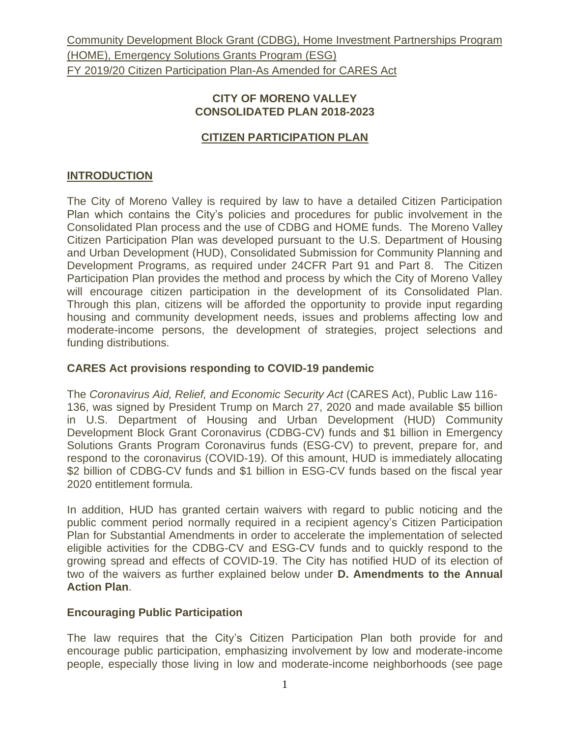#### **CITY OF MORENO VALLEY CONSOLIDATED PLAN 2018-2023**

## **CITIZEN PARTICIPATION PLAN**

## **INTRODUCTION**

The City of Moreno Valley is required by law to have a detailed Citizen Participation Plan which contains the City's policies and procedures for public involvement in the Consolidated Plan process and the use of CDBG and HOME funds. The Moreno Valley Citizen Participation Plan was developed pursuant to the U.S. Department of Housing and Urban Development (HUD), Consolidated Submission for Community Planning and Development Programs, as required under 24CFR Part 91 and Part 8. The Citizen Participation Plan provides the method and process by which the City of Moreno Valley will encourage citizen participation in the development of its Consolidated Plan. Through this plan, citizens will be afforded the opportunity to provide input regarding housing and community development needs, issues and problems affecting low and moderate-income persons, the development of strategies, project selections and funding distributions.

## **CARES Act provisions responding to COVID-19 pandemic**

The *Coronavirus Aid, Relief, and Economic Security Act* (CARES Act), Public Law 116- 136, was signed by President Trump on March 27, 2020 and made available \$5 billion in U.S. Department of Housing and Urban Development (HUD) Community Development Block Grant Coronavirus (CDBG-CV) funds and \$1 billion in Emergency Solutions Grants Program Coronavirus funds (ESG-CV) to prevent, prepare for, and respond to the coronavirus (COVID-19). Of this amount, HUD is immediately allocating \$2 billion of CDBG-CV funds and \$1 billion in ESG-CV funds based on the fiscal year 2020 entitlement formula.

In addition, HUD has granted certain waivers with regard to public noticing and the public comment period normally required in a recipient agency's Citizen Participation Plan for Substantial Amendments in order to accelerate the implementation of selected eligible activities for the CDBG-CV and ESG-CV funds and to quickly respond to the growing spread and effects of COVID-19. The City has notified HUD of its election of two of the waivers as further explained below under **D. Amendments to the Annual Action Plan**.

## **Encouraging Public Participation**

The law requires that the City's Citizen Participation Plan both provide for and encourage public participation, emphasizing involvement by low and moderate-income people, especially those living in low and moderate-income neighborhoods (see page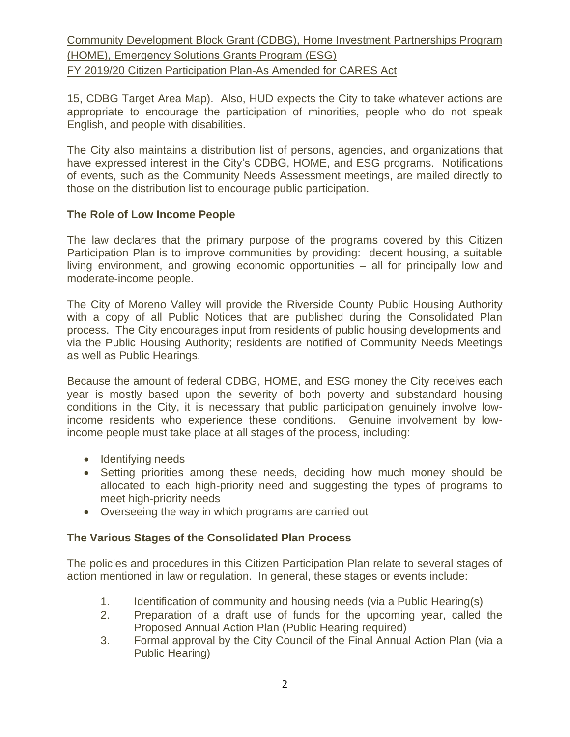15, CDBG Target Area Map). Also, HUD expects the City to take whatever actions are appropriate to encourage the participation of minorities, people who do not speak English, and people with disabilities.

The City also maintains a distribution list of persons, agencies, and organizations that have expressed interest in the City's CDBG, HOME, and ESG programs. Notifications of events, such as the Community Needs Assessment meetings, are mailed directly to those on the distribution list to encourage public participation.

#### **The Role of Low Income People**

The law declares that the primary purpose of the programs covered by this Citizen Participation Plan is to improve communities by providing: decent housing, a suitable living environment, and growing economic opportunities – all for principally low and moderate-income people.

The City of Moreno Valley will provide the Riverside County Public Housing Authority with a copy of all Public Notices that are published during the Consolidated Plan process. The City encourages input from residents of public housing developments and via the Public Housing Authority; residents are notified of Community Needs Meetings as well as Public Hearings.

Because the amount of federal CDBG, HOME, and ESG money the City receives each year is mostly based upon the severity of both poverty and substandard housing conditions in the City, it is necessary that public participation genuinely involve lowincome residents who experience these conditions. Genuine involvement by lowincome people must take place at all stages of the process, including:

- Identifying needs
- Setting priorities among these needs, deciding how much money should be allocated to each high-priority need and suggesting the types of programs to meet high-priority needs
- Overseeing the way in which programs are carried out

#### **The Various Stages of the Consolidated Plan Process**

The policies and procedures in this Citizen Participation Plan relate to several stages of action mentioned in law or regulation. In general, these stages or events include:

- 1. Identification of community and housing needs (via a Public Hearing(s)
- 2. Preparation of a draft use of funds for the upcoming year, called the Proposed Annual Action Plan (Public Hearing required)
- 3. Formal approval by the City Council of the Final Annual Action Plan (via a Public Hearing)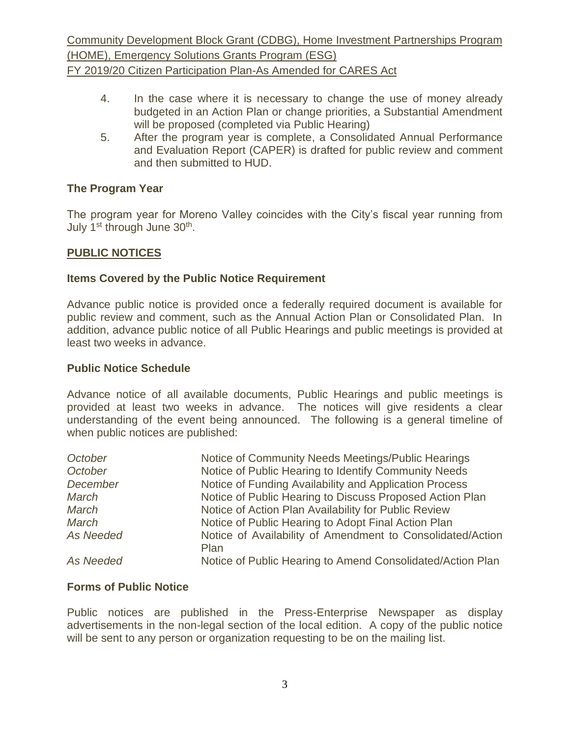- 4. In the case where it is necessary to change the use of money already budgeted in an Action Plan or change priorities, a Substantial Amendment will be proposed (completed via Public Hearing)
- 5. After the program year is complete, a Consolidated Annual Performance and Evaluation Report (CAPER) is drafted for public review and comment and then submitted to HUD.

#### **The Program Year**

The program year for Moreno Valley coincides with the City's fiscal year running from July 1<sup>st</sup> through June 30<sup>th</sup>.

#### **PUBLIC NOTICES**

#### **Items Covered by the Public Notice Requirement**

Advance public notice is provided once a federally required document is available for public review and comment, such as the Annual Action Plan or Consolidated Plan. In addition, advance public notice of all Public Hearings and public meetings is provided at least two weeks in advance.

#### **Public Notice Schedule**

Advance notice of all available documents, Public Hearings and public meetings is provided at least two weeks in advance. The notices will give residents a clear understanding of the event being announced. The following is a general timeline of when public notices are published:

| October   | Notice of Community Needs Meetings/Public Hearings                 |
|-----------|--------------------------------------------------------------------|
| October   | Notice of Public Hearing to Identify Community Needs               |
| December  | Notice of Funding Availability and Application Process             |
| March     | Notice of Public Hearing to Discuss Proposed Action Plan           |
| March     | Notice of Action Plan Availability for Public Review               |
| March     | Notice of Public Hearing to Adopt Final Action Plan                |
| As Needed | Notice of Availability of Amendment to Consolidated/Action<br>Plan |
| As Needed | Notice of Public Hearing to Amend Consolidated/Action Plan         |

#### **Forms of Public Notice**

Public notices are published in the Press-Enterprise Newspaper as display advertisements in the non-legal section of the local edition. A copy of the public notice will be sent to any person or organization requesting to be on the mailing list.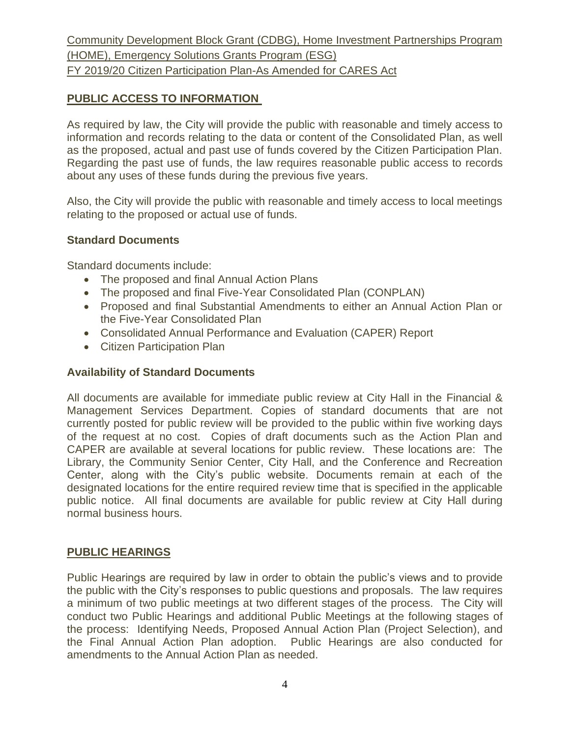## **PUBLIC ACCESS TO INFORMATION**

As required by law, the City will provide the public with reasonable and timely access to information and records relating to the data or content of the Consolidated Plan, as well as the proposed, actual and past use of funds covered by the Citizen Participation Plan. Regarding the past use of funds, the law requires reasonable public access to records about any uses of these funds during the previous five years.

Also, the City will provide the public with reasonable and timely access to local meetings relating to the proposed or actual use of funds.

## **Standard Documents**

Standard documents include:

- The proposed and final Annual Action Plans
- The proposed and final Five-Year Consolidated Plan (CONPLAN)
- Proposed and final Substantial Amendments to either an Annual Action Plan or the Five-Year Consolidated Plan
- Consolidated Annual Performance and Evaluation (CAPER) Report
- Citizen Participation Plan

#### **Availability of Standard Documents**

All documents are available for immediate public review at City Hall in the Financial & Management Services Department. Copies of standard documents that are not currently posted for public review will be provided to the public within five working days of the request at no cost. Copies of draft documents such as the Action Plan and CAPER are available at several locations for public review. These locations are: The Library, the Community Senior Center, City Hall, and the Conference and Recreation Center, along with the City's public website. Documents remain at each of the designated locations for the entire required review time that is specified in the applicable public notice. All final documents are available for public review at City Hall during normal business hours.

#### **PUBLIC HEARINGS**

Public Hearings are required by law in order to obtain the public's views and to provide the public with the City's responses to public questions and proposals. The law requires a minimum of two public meetings at two different stages of the process. The City will conduct two Public Hearings and additional Public Meetings at the following stages of the process: Identifying Needs, Proposed Annual Action Plan (Project Selection), and the Final Annual Action Plan adoption. Public Hearings are also conducted for amendments to the Annual Action Plan as needed.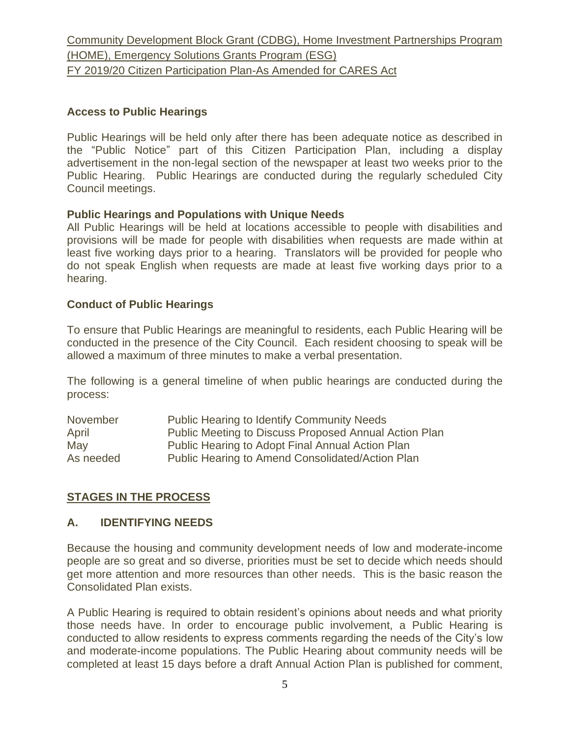#### **Access to Public Hearings**

Public Hearings will be held only after there has been adequate notice as described in the "Public Notice" part of this Citizen Participation Plan, including a display advertisement in the non-legal section of the newspaper at least two weeks prior to the Public Hearing. Public Hearings are conducted during the regularly scheduled City Council meetings.

#### **Public Hearings and Populations with Unique Needs**

All Public Hearings will be held at locations accessible to people with disabilities and provisions will be made for people with disabilities when requests are made within at least five working days prior to a hearing. Translators will be provided for people who do not speak English when requests are made at least five working days prior to a hearing.

#### **Conduct of Public Hearings**

To ensure that Public Hearings are meaningful to residents, each Public Hearing will be conducted in the presence of the City Council. Each resident choosing to speak will be allowed a maximum of three minutes to make a verbal presentation.

The following is a general timeline of when public hearings are conducted during the process:

| November  | <b>Public Hearing to Identify Community Needs</b>     |
|-----------|-------------------------------------------------------|
| April     | Public Meeting to Discuss Proposed Annual Action Plan |
| May       | Public Hearing to Adopt Final Annual Action Plan      |
| As needed | Public Hearing to Amend Consolidated/Action Plan      |

#### **STAGES IN THE PROCESS**

#### **A. IDENTIFYING NEEDS**

Because the housing and community development needs of low and moderate-income people are so great and so diverse, priorities must be set to decide which needs should get more attention and more resources than other needs. This is the basic reason the Consolidated Plan exists.

A Public Hearing is required to obtain resident's opinions about needs and what priority those needs have. In order to encourage public involvement, a Public Hearing is conducted to allow residents to express comments regarding the needs of the City's low and moderate-income populations. The Public Hearing about community needs will be completed at least 15 days before a draft Annual Action Plan is published for comment,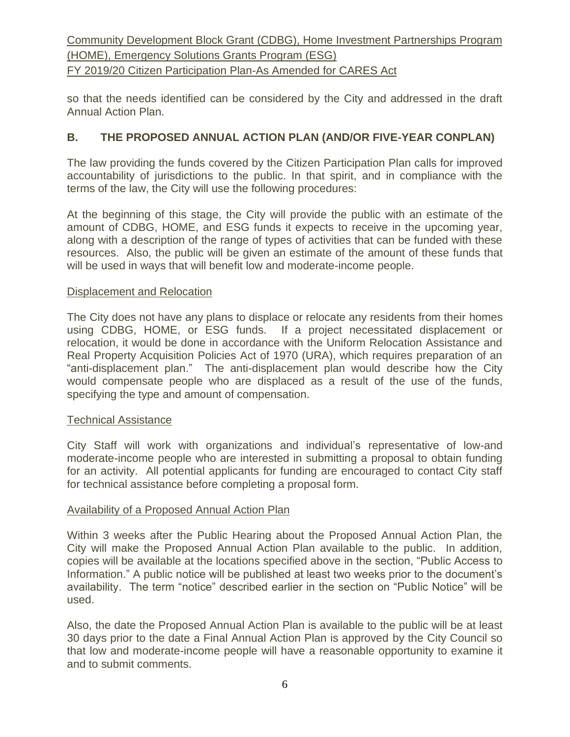so that the needs identified can be considered by the City and addressed in the draft Annual Action Plan.

## **B. THE PROPOSED ANNUAL ACTION PLAN (AND/OR FIVE-YEAR CONPLAN)**

The law providing the funds covered by the Citizen Participation Plan calls for improved accountability of jurisdictions to the public. In that spirit, and in compliance with the terms of the law, the City will use the following procedures:

At the beginning of this stage, the City will provide the public with an estimate of the amount of CDBG, HOME, and ESG funds it expects to receive in the upcoming year, along with a description of the range of types of activities that can be funded with these resources. Also, the public will be given an estimate of the amount of these funds that will be used in ways that will benefit low and moderate-income people.

#### Displacement and Relocation

The City does not have any plans to displace or relocate any residents from their homes using CDBG, HOME, or ESG funds. If a project necessitated displacement or relocation, it would be done in accordance with the Uniform Relocation Assistance and Real Property Acquisition Policies Act of 1970 (URA), which requires preparation of an "anti-displacement plan." The anti-displacement plan would describe how the City would compensate people who are displaced as a result of the use of the funds, specifying the type and amount of compensation.

#### Technical Assistance

City Staff will work with organizations and individual's representative of low-and moderate-income people who are interested in submitting a proposal to obtain funding for an activity. All potential applicants for funding are encouraged to contact City staff for technical assistance before completing a proposal form.

#### Availability of a Proposed Annual Action Plan

Within 3 weeks after the Public Hearing about the Proposed Annual Action Plan, the City will make the Proposed Annual Action Plan available to the public. In addition, copies will be available at the locations specified above in the section, "Public Access to Information." A public notice will be published at least two weeks prior to the document's availability. The term "notice" described earlier in the section on "Public Notice" will be used.

Also, the date the Proposed Annual Action Plan is available to the public will be at least 30 days prior to the date a Final Annual Action Plan is approved by the City Council so that low and moderate-income people will have a reasonable opportunity to examine it and to submit comments.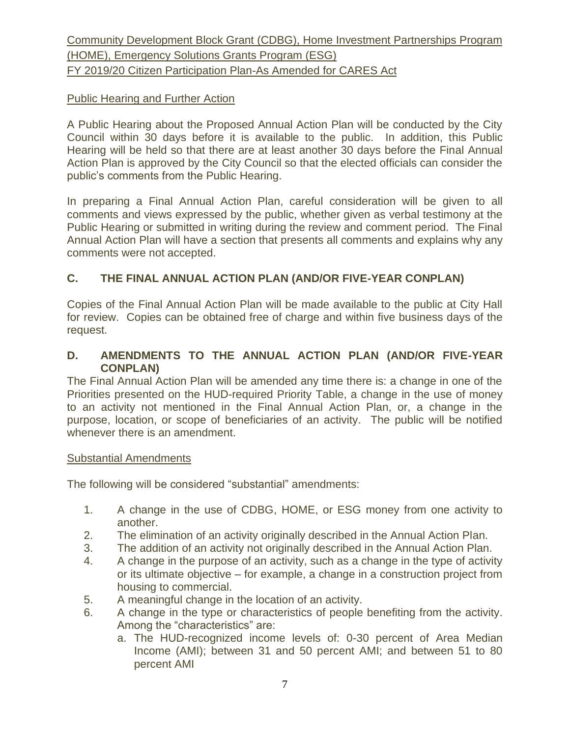## Public Hearing and Further Action

A Public Hearing about the Proposed Annual Action Plan will be conducted by the City Council within 30 days before it is available to the public. In addition, this Public Hearing will be held so that there are at least another 30 days before the Final Annual Action Plan is approved by the City Council so that the elected officials can consider the public's comments from the Public Hearing.

In preparing a Final Annual Action Plan, careful consideration will be given to all comments and views expressed by the public, whether given as verbal testimony at the Public Hearing or submitted in writing during the review and comment period. The Final Annual Action Plan will have a section that presents all comments and explains why any comments were not accepted.

## **C. THE FINAL ANNUAL ACTION PLAN (AND/OR FIVE-YEAR CONPLAN)**

Copies of the Final Annual Action Plan will be made available to the public at City Hall for review. Copies can be obtained free of charge and within five business days of the request.

## **D. AMENDMENTS TO THE ANNUAL ACTION PLAN (AND/OR FIVE-YEAR CONPLAN)**

The Final Annual Action Plan will be amended any time there is: a change in one of the Priorities presented on the HUD-required Priority Table, a change in the use of money to an activity not mentioned in the Final Annual Action Plan, or, a change in the purpose, location, or scope of beneficiaries of an activity. The public will be notified whenever there is an amendment.

## Substantial Amendments

The following will be considered "substantial" amendments:

- 1. A change in the use of CDBG, HOME, or ESG money from one activity to another.
- 2. The elimination of an activity originally described in the Annual Action Plan.
- 3. The addition of an activity not originally described in the Annual Action Plan.
- 4. A change in the purpose of an activity, such as a change in the type of activity or its ultimate objective – for example, a change in a construction project from housing to commercial.
- 5. A meaningful change in the location of an activity.
- 6. A change in the type or characteristics of people benefiting from the activity. Among the "characteristics" are:
	- a. The HUD-recognized income levels of: 0-30 percent of Area Median Income (AMI); between 31 and 50 percent AMI; and between 51 to 80 percent AMI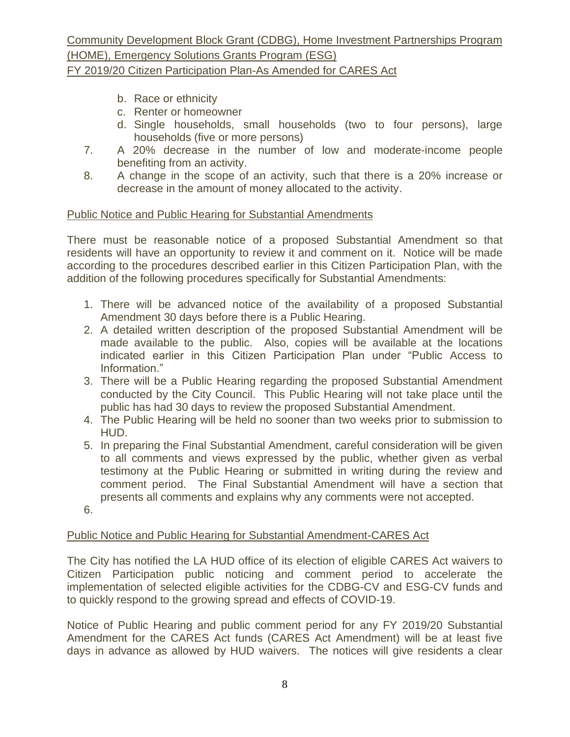Community Development Block Grant (CDBG), Home Investment Partnerships Program (HOME), Emergency Solutions Grants Program (ESG)

- FY 2019/20 Citizen Participation Plan-As Amended for CARES Act
	- b. Race or ethnicity
	- c. Renter or homeowner
	- d. Single households, small households (two to four persons), large households (five or more persons)
	- 7. A 20% decrease in the number of low and moderate-income people benefiting from an activity.
	- 8. A change in the scope of an activity, such that there is a 20% increase or decrease in the amount of money allocated to the activity.

## Public Notice and Public Hearing for Substantial Amendments

There must be reasonable notice of a proposed Substantial Amendment so that residents will have an opportunity to review it and comment on it. Notice will be made according to the procedures described earlier in this Citizen Participation Plan, with the addition of the following procedures specifically for Substantial Amendments:

- 1. There will be advanced notice of the availability of a proposed Substantial Amendment 30 days before there is a Public Hearing.
- 2. A detailed written description of the proposed Substantial Amendment will be made available to the public. Also, copies will be available at the locations indicated earlier in this Citizen Participation Plan under "Public Access to Information."
- 3. There will be a Public Hearing regarding the proposed Substantial Amendment conducted by the City Council. This Public Hearing will not take place until the public has had 30 days to review the proposed Substantial Amendment.
- 4. The Public Hearing will be held no sooner than two weeks prior to submission to HUD.
- 5. In preparing the Final Substantial Amendment, careful consideration will be given to all comments and views expressed by the public, whether given as verbal testimony at the Public Hearing or submitted in writing during the review and comment period. The Final Substantial Amendment will have a section that presents all comments and explains why any comments were not accepted.
- 6.

## Public Notice and Public Hearing for Substantial Amendment-CARES Act

The City has notified the LA HUD office of its election of eligible CARES Act waivers to Citizen Participation public noticing and comment period to accelerate the implementation of selected eligible activities for the CDBG-CV and ESG-CV funds and to quickly respond to the growing spread and effects of COVID-19.

Notice of Public Hearing and public comment period for any FY 2019/20 Substantial Amendment for the CARES Act funds (CARES Act Amendment) will be at least five days in advance as allowed by HUD waivers. The notices will give residents a clear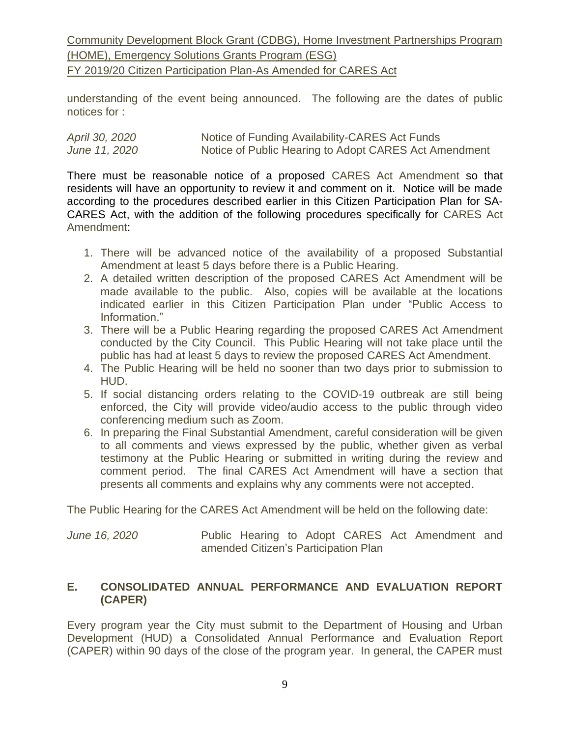understanding of the event being announced. The following are the dates of public notices for :

| April 30, 2020 | Notice of Funding Availability-CARES Act Funds        |
|----------------|-------------------------------------------------------|
| June 11, 2020  | Notice of Public Hearing to Adopt CARES Act Amendment |

There must be reasonable notice of a proposed CARES Act Amendment so that residents will have an opportunity to review it and comment on it. Notice will be made according to the procedures described earlier in this Citizen Participation Plan for SA-CARES Act, with the addition of the following procedures specifically for CARES Act Amendment:

- 1. There will be advanced notice of the availability of a proposed Substantial Amendment at least 5 days before there is a Public Hearing.
- 2. A detailed written description of the proposed CARES Act Amendment will be made available to the public. Also, copies will be available at the locations indicated earlier in this Citizen Participation Plan under "Public Access to Information."
- 3. There will be a Public Hearing regarding the proposed CARES Act Amendment conducted by the City Council. This Public Hearing will not take place until the public has had at least 5 days to review the proposed CARES Act Amendment.
- 4. The Public Hearing will be held no sooner than two days prior to submission to HUD.
- 5. If social distancing orders relating to the COVID-19 outbreak are still being enforced, the City will provide video/audio access to the public through video conferencing medium such as Zoom.
- 6. In preparing the Final Substantial Amendment, careful consideration will be given to all comments and views expressed by the public, whether given as verbal testimony at the Public Hearing or submitted in writing during the review and comment period. The final CARES Act Amendment will have a section that presents all comments and explains why any comments were not accepted.

The Public Hearing for the CARES Act Amendment will be held on the following date:

*June* 16, 2020 **Public Hearing to Adopt CARES Act Amendment and** amended Citizen's Participation Plan

#### **E. CONSOLIDATED ANNUAL PERFORMANCE AND EVALUATION REPORT (CAPER)**

Every program year the City must submit to the Department of Housing and Urban Development (HUD) a Consolidated Annual Performance and Evaluation Report (CAPER) within 90 days of the close of the program year. In general, the CAPER must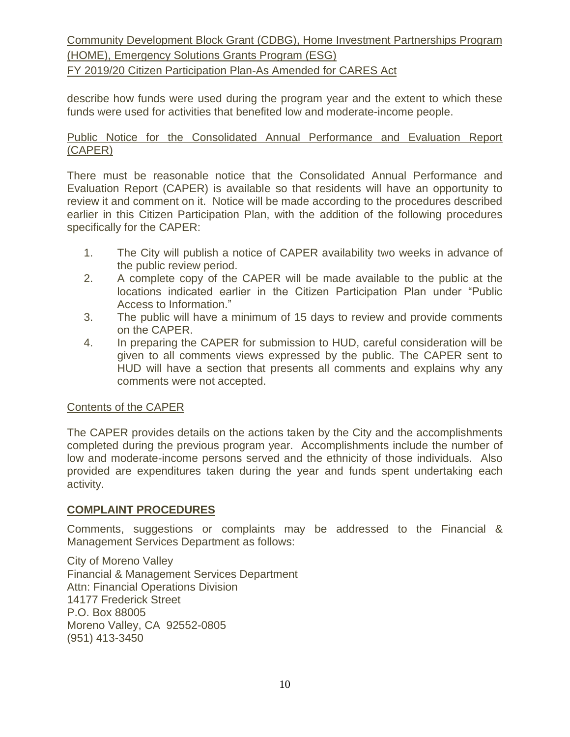describe how funds were used during the program year and the extent to which these funds were used for activities that benefited low and moderate-income people.

#### Public Notice for the Consolidated Annual Performance and Evaluation Report (CAPER)

There must be reasonable notice that the Consolidated Annual Performance and Evaluation Report (CAPER) is available so that residents will have an opportunity to review it and comment on it. Notice will be made according to the procedures described earlier in this Citizen Participation Plan, with the addition of the following procedures specifically for the CAPER:

- 1. The City will publish a notice of CAPER availability two weeks in advance of the public review period.
- 2. A complete copy of the CAPER will be made available to the public at the locations indicated earlier in the Citizen Participation Plan under "Public Access to Information."
- 3. The public will have a minimum of 15 days to review and provide comments on the CAPER.
- 4. In preparing the CAPER for submission to HUD, careful consideration will be given to all comments views expressed by the public. The CAPER sent to HUD will have a section that presents all comments and explains why any comments were not accepted.

#### Contents of the CAPER

The CAPER provides details on the actions taken by the City and the accomplishments completed during the previous program year. Accomplishments include the number of low and moderate-income persons served and the ethnicity of those individuals. Also provided are expenditures taken during the year and funds spent undertaking each activity.

#### **COMPLAINT PROCEDURES**

Comments, suggestions or complaints may be addressed to the Financial & Management Services Department as follows:

City of Moreno Valley Financial & Management Services Department Attn: Financial Operations Division 14177 Frederick Street P.O. Box 88005 Moreno Valley, CA 92552-0805 (951) 413-3450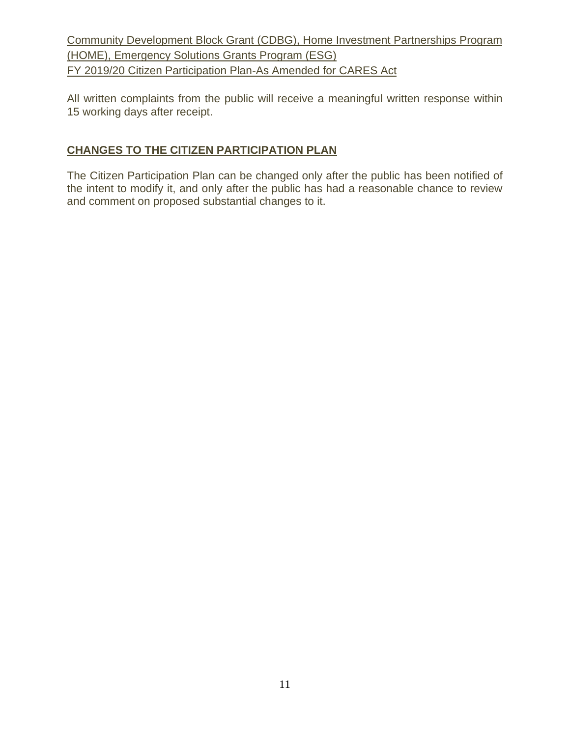All written complaints from the public will receive a meaningful written response within 15 working days after receipt.

## **CHANGES TO THE CITIZEN PARTICIPATION PLAN**

The Citizen Participation Plan can be changed only after the public has been notified of the intent to modify it, and only after the public has had a reasonable chance to review and comment on proposed substantial changes to it.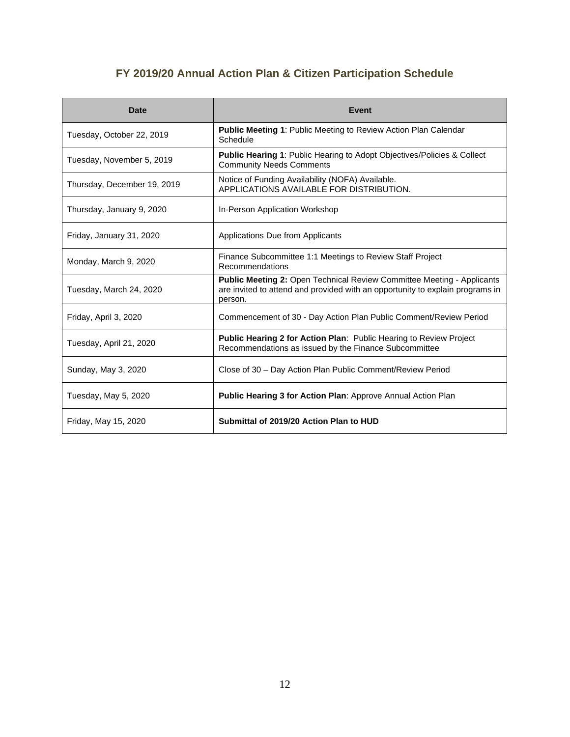## **FY 2019/20 Annual Action Plan & Citizen Participation Schedule**

| <b>Date</b>                 | <b>Event</b>                                                                                                                                                       |
|-----------------------------|--------------------------------------------------------------------------------------------------------------------------------------------------------------------|
| Tuesday, October 22, 2019   | Public Meeting 1: Public Meeting to Review Action Plan Calendar<br>Schedule                                                                                        |
| Tuesday, November 5, 2019   | <b>Public Hearing 1: Public Hearing to Adopt Objectives/Policies &amp; Collect</b><br><b>Community Needs Comments</b>                                              |
| Thursday, December 19, 2019 | Notice of Funding Availability (NOFA) Available.<br>APPLICATIONS AVAILABLE FOR DISTRIBUTION.                                                                       |
| Thursday, January 9, 2020   | In-Person Application Workshop                                                                                                                                     |
| Friday, January 31, 2020    | Applications Due from Applicants                                                                                                                                   |
| Monday, March 9, 2020       | Finance Subcommittee 1:1 Meetings to Review Staff Project<br>Recommendations                                                                                       |
| Tuesday, March 24, 2020     | Public Meeting 2: Open Technical Review Committee Meeting - Applicants<br>are invited to attend and provided with an opportunity to explain programs in<br>person. |
| Friday, April 3, 2020       | Commencement of 30 - Day Action Plan Public Comment/Review Period                                                                                                  |
| Tuesday, April 21, 2020     | Public Hearing 2 for Action Plan: Public Hearing to Review Project<br>Recommendations as issued by the Finance Subcommittee                                        |
| Sunday, May 3, 2020         | Close of 30 – Day Action Plan Public Comment/Review Period                                                                                                         |
| Tuesday, May 5, 2020        | <b>Public Hearing 3 for Action Plan: Approve Annual Action Plan</b>                                                                                                |
| Friday, May 15, 2020        | Submittal of 2019/20 Action Plan to HUD                                                                                                                            |